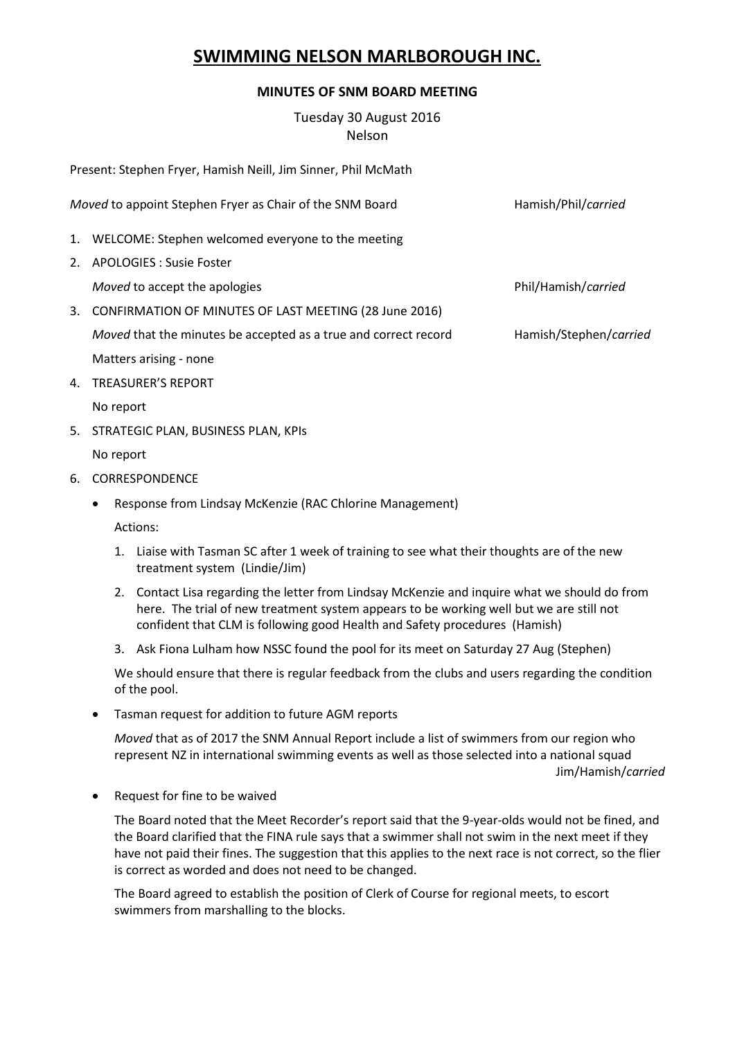## **SWIMMING NELSON MARLBOROUGH INC.**

## **MINUTES OF SNM BOARD MEETING**

Tuesday 30 August 2016 Nelson

Present: Stephen Fryer, Hamish Neill, Jim Sinner, Phil McMath

| Moved to appoint Stephen Fryer as Chair of the SNM Board |                                                                 | Hamish/Phil/carried    |
|----------------------------------------------------------|-----------------------------------------------------------------|------------------------|
|                                                          | 1. WELCOME: Stephen welcomed everyone to the meeting            |                        |
| 2.                                                       | <b>APOLOGIES: Susie Foster</b>                                  |                        |
|                                                          | Moved to accept the apologies                                   | Phil/Hamish/carried    |
| 3.                                                       | CONFIRMATION OF MINUTES OF LAST MEETING (28 June 2016)          |                        |
|                                                          | Moved that the minutes be accepted as a true and correct record | Hamish/Stephen/carried |
|                                                          | Matters arising - none                                          |                        |
| 4.                                                       | <b>TREASURER'S REPORT</b>                                       |                        |
|                                                          |                                                                 |                        |

- No report
- 5. STRATEGIC PLAN, BUSINESS PLAN, KPIs

## No report

- 6. CORRESPONDENCE
	- Response from Lindsay McKenzie (RAC Chlorine Management)

Actions:

- 1. Liaise with Tasman SC after 1 week of training to see what their thoughts are of the new treatment system (Lindie/Jim)
- 2. Contact Lisa regarding the letter from Lindsay McKenzie and inquire what we should do from here. The trial of new treatment system appears to be working well but we are still not confident that CLM is following good Health and Safety procedures (Hamish)
- 3. Ask Fiona Lulham how NSSC found the pool for its meet on Saturday 27 Aug (Stephen)

We should ensure that there is regular feedback from the clubs and users regarding the condition of the pool.

Tasman request for addition to future AGM reports

*Moved* that as of 2017 the SNM Annual Report include a list of swimmers from our region who represent NZ in international swimming events as well as those selected into a national squad Jim/Hamish/*carried*

• Request for fine to be waived

The Board noted that the Meet Recorder's report said that the 9-year-olds would not be fined, and the Board clarified that the FINA rule says that a swimmer shall not swim in the next meet if they have not paid their fines. The suggestion that this applies to the next race is not correct, so the flier is correct as worded and does not need to be changed.

The Board agreed to establish the position of Clerk of Course for regional meets, to escort swimmers from marshalling to the blocks.